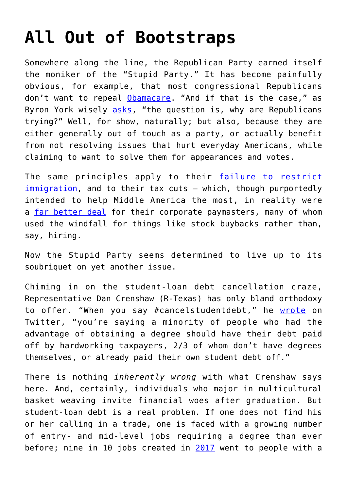## **[All Out of Bootstraps](https://intellectualtakeout.org/2019/07/all-out-of-bootstraps/)**

Somewhere along the line, the Republican Party earned itself the moniker of the "Stupid Party." It has become painfully obvious, for example, that most congressional Republicans don't want to repeal [Obamacare](https://amgreatness.com/2018/12/22/obstructionist-republicans-vs-trump/). "And if that is the case," as Byron York wisely [asks](https://www.washingtonexaminer.com/byron-york-why-cant-house-repeal-obamacare-because-a-lot-of-republicans-dont-want-to), "the question is, why are Republicans trying?" Well, for show, naturally; but also, because they are either generally out of touch as a party, or actually benefit from not resolving issues that hurt everyday Americans, while claiming to want to solve them for appearances and votes.

The same principles apply to their [failure to restrict](https://amgreatness.com/2019/06/27/how-romney-and-the-anti-trump-gop-fueled-the-border-crisis/) [immigration,](https://amgreatness.com/2019/06/27/how-romney-and-the-anti-trump-gop-fueled-the-border-crisis/) and to their tax cuts – which, though purportedly intended to help Middle America the most, in reality were a [far better deal](https://thehill.com/homenews/media/449544-tucker-carlson-gop-tax-law-far-better-deal-for-corporate-america-than-middle) for their corporate paymasters, many of whom used the windfall for things like stock buybacks rather than, say, hiring.

Now the Stupid Party seems determined to live up to its soubriquet on yet another issue.

Chiming in on the student-loan debt cancellation craze, Representative Dan Crenshaw (R-Texas) has only bland orthodoxy to offer. "When you say #cancelstudentdebt," he [wrote](https://twitter.com/DanCrenshawTX/status/1143504500914884608?s=19&fbclid=IwAR2FyFfx7xj3uBJJEMij294VD7ciwOjYrWnlO9jsn33WVGbLwoUKZwjKZoM) on Twitter, "you're saying a minority of people who had the advantage of obtaining a degree should have their debt paid off by hardworking taxpayers, 2/3 of whom don't have degrees themselves, or already paid their own student debt off."

There is nothing *inherently wrong* with what Crenshaw says here. And, certainly, individuals who major in multicultural basket weaving invite financial woes after graduation. But student-loan debt is a real problem. If one does not find his or her calling in a trade, one is faced with a growing number of entry- and mid-level jobs requiring a degree than ever before; nine in 10 jobs created in [2017](https://www.marketwatch.com/story/nine-out-of-10-new-jobs-are-going-to-those-with-a-college-degree-2018-06-04) went to people with a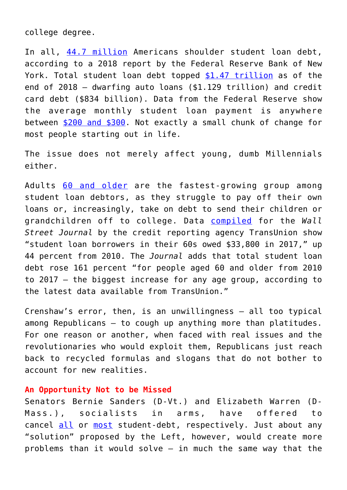college degree.

In all, [44.7 million](https://www.forbes.com/sites/zackfriedman/2019/02/25/student-loan-debt-statistics-2019/#45f6d950133f) Americans shoulder student loan debt, according to a 2018 report by the Federal Reserve Bank of New York. Total student loan debt topped [\\$1.47 trillion](https://www.investmentnews.com/article/20181217/FREE/181219945/outstanding-u-s-student-loan-debt-reaches-record-1-47-trillion) as of the end of 2018 – dwarfing auto loans (\$1.129 trillion) and credit card debt (\$834 billion). Data from the Federal Reserve show the average monthly student loan payment is anywhere between [\\$200 and \\$300](https://www.federalreserve.gov/publications/2018-economic-well-being-of-us-households-in-2017-student-loans.htm). Not exactly a small chunk of change for most people starting out in life.

The issue does not merely affect young, dumb Millennials either.

Adults [60 and older](https://www.wsj.com/articles/over-60-and-crushed-by-student-loan-debt-11549083631) are the fastest-growing group among student loan debtors, as they struggle to pay off their own loans or, increasingly, take on debt to send their children or grandchildren off to college. Data [compiled](https://www.wsj.com/articles/over-60-and-crushed-by-student-loan-debt-11549083631) for the *Wall Street Journal* by the credit reporting agency TransUnion show "student loan borrowers in their 60s owed \$33,800 in 2017," up 44 percent from 2010. The *Journal* adds that total student loan debt rose 161 percent "for people aged 60 and older from 2010 to 2017 – the biggest increase for any age group, according to the latest data available from TransUnion."

Crenshaw's error, then, is an unwillingness – all too typical among Republicans – to cough up anything more than platitudes. For one reason or another, when faced with real issues and the revolutionaries who would exploit them, Republicans just reach back to recycled formulas and slogans that do not bother to account for new realities.

## **An Opportunity Not to be Missed**

Senators Bernie Sanders (D-Vt.) and Elizabeth Warren (D-Mass.), socialists in arms, have offered to cancel [all](https://www.nytimes.com/2019/06/24/us/politics/bernie-sanders-student-debt.html?module=inline) or [most](https://www.nytimes.com/2019/04/22/us/politics/elizabeth-warren-student-debt.html?module=inline) student-debt, respectively. Just about any "solution" proposed by the Left, however, would create more problems than it would solve – in much the same way that the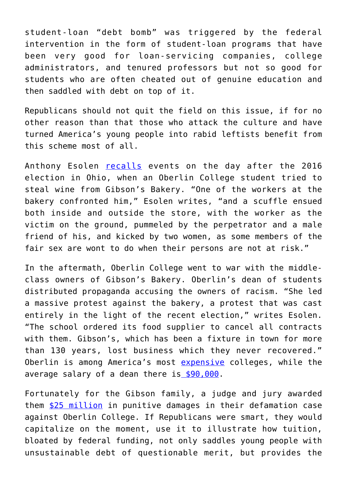student-loan "debt bomb" was triggered by the federal intervention in the form of student-loan programs that have been very good for loan-servicing companies, college administrators, and tenured professors but not so good for students who are often cheated out of genuine education and then saddled with debt on top of it.

Republicans should not quit the field on this issue, if for no other reason than that those who attack the culture and have turned America's young people into rabid leftists benefit from this scheme most of all.

Anthony Esolen [recalls](https://amgreatness.com/2019/06/11/oberlins-comeuppance/) events on the day after the 2016 election in Ohio, when an Oberlin College student tried to steal wine from Gibson's Bakery. "One of the workers at the bakery confronted him," Esolen writes, "and a scuffle ensued both inside and outside the store, with the worker as the victim on the ground, pummeled by the perpetrator and a male friend of his, and kicked by two women, as some members of the fair sex are wont to do when their persons are not at risk."

In the aftermath, Oberlin College went to war with the middleclass owners of Gibson's Bakery. Oberlin's dean of students distributed propaganda accusing the owners of racism. "She led a massive protest against the bakery, a protest that was cast entirely in the light of the recent election," writes Esolen. "The school ordered its food supplier to cancel all contracts with them. Gibson's, which has been a fixture in town for more than 130 years, lost business which they never recovered." Oberlin is among America's most [expensive](https://money.cnn.com/gallery/pf/college/2015/11/05/most-expensive-colleges/9.html) colleges, while the average salary of a dean there is  $$90,000$ .

Fortunately for the Gibson family, a judge and jury awarded them [\\$25 million](http://www.chroniclet.com/Local-News/2019/06/28/Judge-reduces-Gibson-39-s-Bakery-award-to-25-million.html) in punitive damages in their defamation case against Oberlin College. If Republicans were smart, they would capitalize on the moment, use it to illustrate how tuition, bloated by federal funding, not only saddles young people with unsustainable debt of questionable merit, but provides the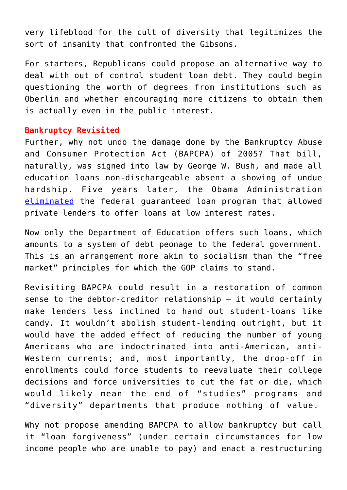very lifeblood for the cult of diversity that legitimizes the sort of insanity that confronted the Gibsons.

For starters, Republicans could propose an alternative way to deal with out of control student loan debt. They could begin questioning the worth of degrees from institutions such as Oberlin and whether encouraging more citizens to obtain them is actually even in the public interest.

## **Bankruptcy Revisited**

Further, why not undo the damage done by the Bankruptcy Abuse and Consumer Protection Act (BAPCPA) of 2005? That bill, naturally, was signed into law by George W. Bush, and made all education loans non-dischargeable absent a showing of undue hardship. Five years later, the Obama Administration [eliminated](https://www.investors.com/politics/editorials/obama-created-student-loan-crisis-with-1-trillion-in-loans/) the federal guaranteed loan program that allowed private lenders to offer loans at low interest rates.

Now only the Department of Education offers such loans, which amounts to a system of debt peonage to the federal government. This is an arrangement more akin to socialism than the "free market" principles for which the GOP claims to stand.

Revisiting BAPCPA could result in a restoration of common sense to the debtor-creditor relationship – it would certainly make lenders less inclined to hand out student-loans like candy. It wouldn't abolish student-lending outright, but it would have the added effect of reducing the number of young Americans who are indoctrinated into anti-American, anti-Western currents; and, most importantly, the drop-off in enrollments could force students to reevaluate their college decisions and force universities to cut the fat or die, which would likely mean the end of "studies" programs and "diversity" departments that produce nothing of value.

Why not propose amending BAPCPA to allow bankruptcy but call it "loan forgiveness" (under certain circumstances for low income people who are unable to pay) and enact a restructuring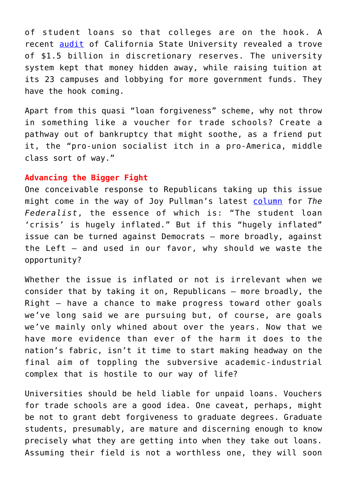of student loans so that colleges are on the hook. A recent [audit](https://www.latimes.com/politics/la-pol-sac-skelton-california-university-tuition-20190627-story.html?fbclid=IwAR0adQxwnankK7Yz1dsdhg2O6poZRwEOOCuXU0m8h5ZEi4BrkK_nXRY-h3w) of California State University revealed a trove of \$1.5 billion in discretionary reserves. The university system kept that money hidden away, while raising tuition at its 23 campuses and lobbying for more government funds. They have the hook coming.

Apart from this quasi "loan forgiveness" scheme, why not throw in something like a voucher for trade schools? Create a pathway out of bankruptcy that might soothe, as a friend put it, the "pro-union socialist itch in a pro-America, middle class sort of way."

## **Advancing the Bigger Fight**

One conceivable response to Republicans taking up this issue might come in the way of Joy Pullman's latest [column](https://thefederalist.com/2019/06/27/millennials-work-behinds-off-pay-college-debt-like/) for *The Federalist*, the essence of which is: "The student loan 'crisis' is hugely inflated." But if this "hugely inflated" issue can be turned against Democrats – more broadly, against the Left – and used in our favor, why should we waste the opportunity?

Whether the issue is inflated or not is irrelevant when we consider that by taking it on, Republicans – more broadly, the Right – have a chance to make progress toward other goals we've long said we are pursuing but, of course, are goals we've mainly only whined about over the years. Now that we have more evidence than ever of the harm it does to the nation's fabric, isn't it time to start making headway on the final aim of toppling the subversive academic-industrial complex that is hostile to our way of life?

Universities should be held liable for unpaid loans. Vouchers for trade schools are a good idea. One caveat, perhaps, might be not to grant debt forgiveness to graduate degrees. Graduate students, presumably, are mature and discerning enough to know precisely what they are getting into when they take out loans. Assuming their field is not a worthless one, they will soon